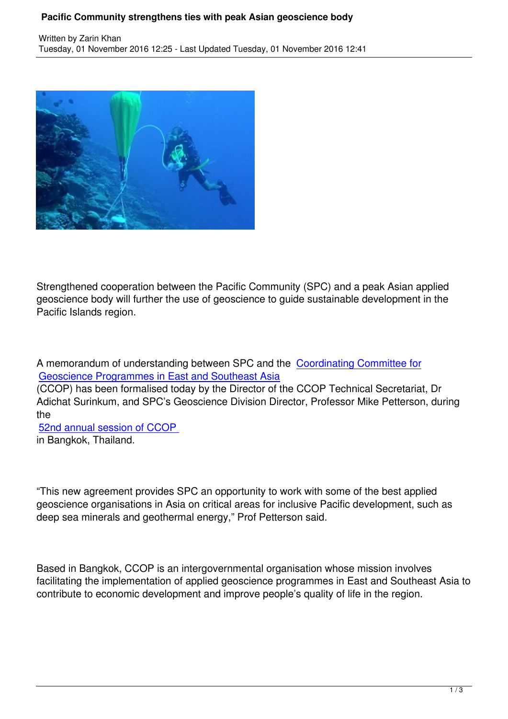

Strengthened cooperation between the Pacific Community (SPC) and a peak Asian applied geoscience body will further the use of geoscience to guide sustainable development in the Pacific Islands region.

A memorandum of understanding between SPC and the Coordinating Committee for Geoscience Programmes in East and Southeast Asia

(CCOP) has been formalised today by the Director of the CCOP Technical Secretariat, Dr Adichat Surinkum, and SPC's Geoscience Division Direct[or, Professor Mike Petterson](http://www.ccop.or.th/), during [the](http://www.ccop.or.th/) 

52nd annual session of CCOP in Bangkok, Thailand.

"This new agreement provides SPC an opportunity to work with some of the best applied geoscience organisations in Asia on critical areas for inclusive Pacific development, such as deep sea minerals and geothermal energy," Prof Petterson said.

Based in Bangkok, CCOP is an intergovernmental organisation whose mission involves facilitating the implementation of applied geoscience programmes in East and Southeast Asia to contribute to economic development and improve people's quality of life in the region.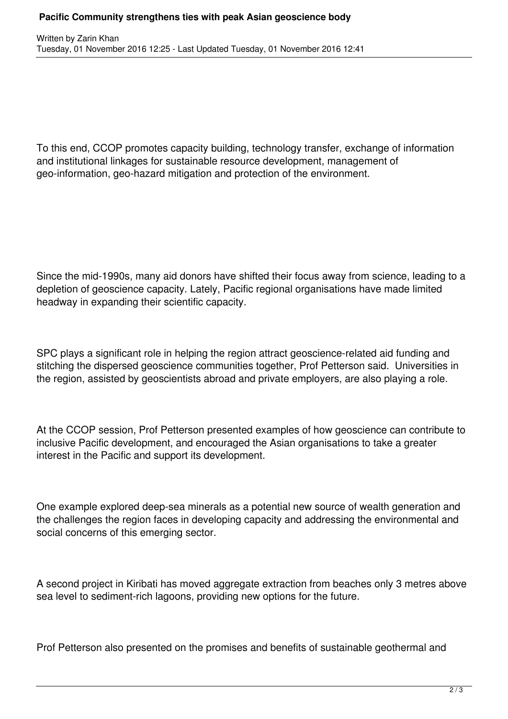To this end, CCOP promotes capacity building, technology transfer, exchange of information and institutional linkages for sustainable resource development, management of geo-information, geo-hazard mitigation and protection of the environment.

Since the mid-1990s, many aid donors have shifted their focus away from science, leading to a depletion of geoscience capacity. Lately, Pacific regional organisations have made limited headway in expanding their scientific capacity.

SPC plays a significant role in helping the region attract geoscience-related aid funding and stitching the dispersed geoscience communities together, Prof Petterson said. Universities in the region, assisted by geoscientists abroad and private employers, are also playing a role.

At the CCOP session, Prof Petterson presented examples of how geoscience can contribute to inclusive Pacific development, and encouraged the Asian organisations to take a greater interest in the Pacific and support its development.

One example explored deep-sea minerals as a potential new source of wealth generation and the challenges the region faces in developing capacity and addressing the environmental and social concerns of this emerging sector.

A second project in Kiribati has moved aggregate extraction from beaches only 3 metres above sea level to sediment-rich lagoons, providing new options for the future.

Prof Petterson also presented on the promises and benefits of sustainable geothermal and